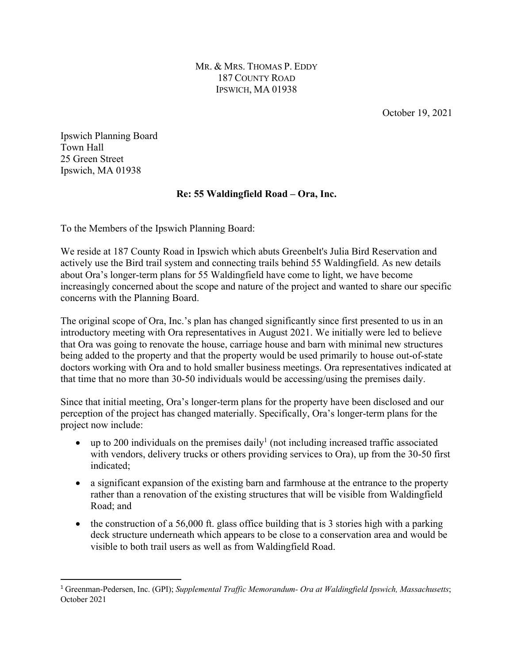MR. & MRS. THOMAS P. EDDY 187 COUNTY ROAD IPSWICH, MA 01938

October 19, 2021

Ipswich Planning Board Town Hall 25 Green Street Ipswich, MA 01938

## **Re: 55 Waldingfield Road – Ora, Inc.**

To the Members of the Ipswich Planning Board:

We reside at 187 County Road in Ipswich which abuts Greenbelt's Julia Bird Reservation and actively use the Bird trail system and connecting trails behind 55 Waldingfield. As new details about Ora's longer-term plans for 55 Waldingfield have come to light, we have become increasingly concerned about the scope and nature of the project and wanted to share our specific concerns with the Planning Board.

The original scope of Ora, Inc.'s plan has changed significantly since first presented to us in an introductory meeting with Ora representatives in August 2021. We initially were led to believe that Ora was going to renovate the house, carriage house and barn with minimal new structures being added to the property and that the property would be used primarily to house out-of-state doctors working with Ora and to hold smaller business meetings. Ora representatives indicated at that time that no more than 30-50 individuals would be accessing/using the premises daily.

Since that initial meeting, Ora's longer-term plans for the property have been disclosed and our perception of the project has changed materially. Specifically, Ora's longer-term plans for the project now include:

- up to 200 individuals on the premises daily<sup>1</sup> (not including increased traffic associated with vendors, delivery trucks or others providing services to Ora), up from the 30-50 first indicated;
- a significant expansion of the existing barn and farmhouse at the entrance to the property rather than a renovation of the existing structures that will be visible from Waldingfield Road; and
- the construction of a 56,000 ft. glass office building that is 3 stories high with a parking deck structure underneath which appears to be close to a conservation area and would be visible to both trail users as well as from Waldingfield Road.

<sup>1</sup> Greenman-Pedersen, Inc. (GPI); *Supplemental Traffic Memorandum- Ora at Waldingfield Ipswich, Massachusetts*; October 2021